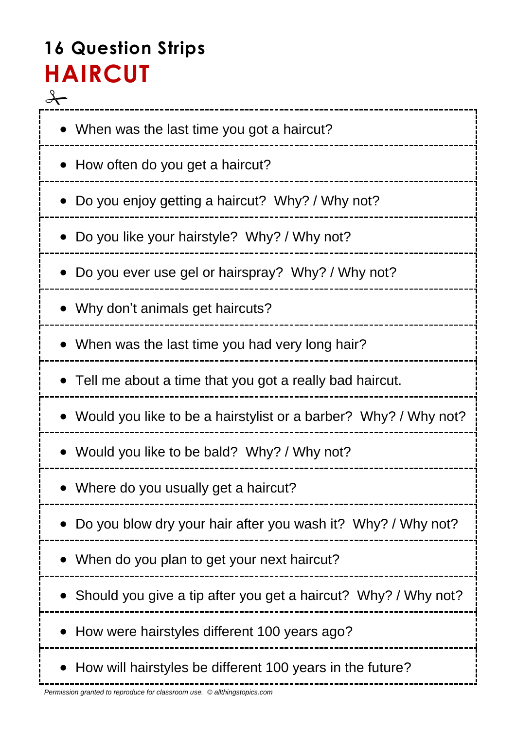# **16 Question Strips HAIRCUT**

 $\frac{1}{\sqrt{2}}$ \_\_\_\_\_\_\_\_\_\_\_\_\_\_\_ • When was the last time you got a haircut? • How often do you get a haircut? Do you enjoy getting a haircut? Why? / Why not? Do you like your hairstyle? Why? / Why not? Do you ever use gel or hairspray? Why? / Why not? Why don't animals get haircuts? • When was the last time you had very long hair? Tell me about a time that you got a really bad haircut. Would you like to be a hairstylist or a barber? Why? / Why not? Would you like to be bald? Why? / Why not? Where do you usually get a haircut? Do you blow dry your hair after you wash it? Why? / Why not? When do you plan to get your next haircut? • Should you give a tip after you get a haircut? Why? / Why not? • How were hairstyles different 100 years ago? • How will hairstyles be different 100 years in the future?